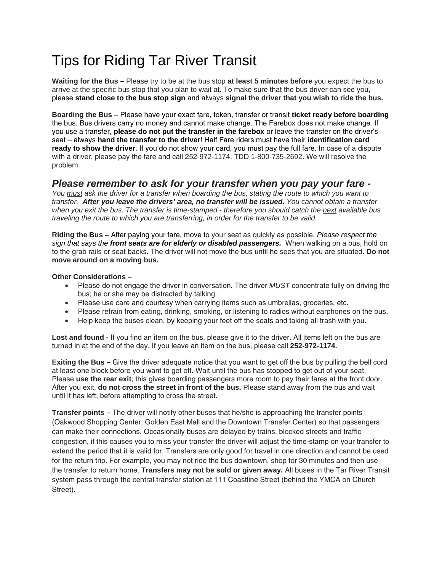## Tips for Riding Tar River Transit

**Waiting for the Bus –** Please try to be at the bus stop **at least 5 minutes before** you expect the bus to arrive at the specific bus stop that you plan to wait at. To make sure that the bus driver can see you, please **stand close to the bus stop sign** and always **signal the driver that you wish to ride the bus.**

**Boarding the Bus –** Please have your exact fare, token, transfer or transit **ticket ready before boarding** the bus. Bus drivers carry no money and cannot make change. The Farebox does not make change. If you use a transfer, **please do not put the transfer in the farebox** or leave the transfer on the driver's seat – always **hand the transfer to the driver**! Half Fare riders must have their **identification card ready to show the driver**. If you do not show your card, you must pay the full fare. In case of a dispute with a driver, please pay the fare and call 252-972-1174, TDD 1-800-735-2692. We will resolve the problem.

## *Please remember to ask for your transfer when you pay your fare -*

*You must ask the driver for a transfer when boarding the bus, stating the route to which you want to transfer. After you leave the drivers' area, no transfer will be issued. You cannot obtain a transfer when you exit the bus. The transfer is time-stamped - therefore you should catch the next available bus traveling the route to which you are transferring, in order for the transfer to be valid.*

**Riding the Bus –** After paying your fare, move to your seat as quickly as possible. *Please respect the sign that says the front seats are for elderly or disabled passengers.* When walking on a bus, hold on to the grab rails or seat backs. The driver will not move the bus until he sees that you are situated. **Do not move around on a moving bus.** 

**Other Considerations –**

- Please do not engage the driver in conversation. The driver *MUST* concentrate fully on driving the bus; he or she may be distracted by talking.
- Please use care and courtesy when carrying items such as umbrellas, groceries, etc.
- Please refrain from eating, drinking, smoking, or listening to radios without earphones on the bus.
- Help keep the buses clean, by keeping your feet off the seats and taking all trash with you.

**Lost and found -** If you find an item on the bus, please give it to the driver. All items left on the bus are turned in at the end of the day. If you leave an item on the bus, please call **252-972-1174.** 

**Exiting the Bus –** Give the driver adequate notice that you want to get off the bus by pulling the bell cord at least one block before you want to get off. Wait until the bus has stopped to get out of your seat. Please **use the rear exit**; this gives boarding passengers more room to pay their fares at the front door. After you exit, **do not cross the street in front of the bus.** Please stand away from the bus and wait until it has left, before attempting to cross the street.

**Transfer points –** The driver will notify other buses that he/she is approaching the transfer points (Oakwood Shopping Center, Golden East Mall and the Downtown Transfer Center) so that passengers can make their connections. Occasionally buses are delayed by trains, blocked streets and traffic congestion, if this causes you to miss your transfer the driver will adjust the time-stamp on your transfer to extend the period that it is valid for. Transfers are only good for travel in one direction and cannot be used for the return trip. For example, you may not ride the bus downtown, shop for 30 minutes and then use the transfer to return home. **Transfers may not be sold or given away.** All buses in the Tar River Transit system pass through the central transfer station at 111 Coastline Street (behind the YMCA on Church Street).